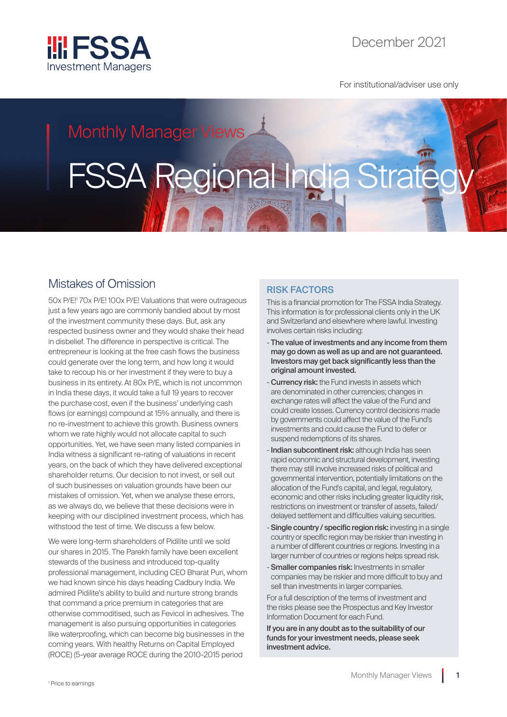

For institutional/adviser use only

## Monthly Manager Views

# FSSA Regional India Strate

## Mistakes of Omission

50x P/E!1 70x P/E! 100x P/E! Valuations that were outrageous just a few years ago are commonly bandied about by most of the investment community these days. But, ask any respected business owner and they would shake their head in disbelief. The difference in perspective is critical. The entrepreneur is looking at the free cash flows the business could generate over the long term, and how long it would take to recoup his or her investment if they were to buy a business in its entirety. At 80x P/E, which is not uncommon in India these days, it would take a full 19 years to recover the purchase cost, even if the business' underlying cash flows (or earnings) compound at 15% annually, and there is no re-investment to achieve this growth. Business owners whom we rate highly would not allocate capital to such opportunities. Yet, we have seen many listed companies in India witness a significant re-rating of valuations in recent years, on the back of which they have delivered exceptional shareholder returns. Our decision to not invest, or sell out of such businesses on valuation grounds have been our mistakes of omission. Yet, when we analyse these errors, as we always do, we believe that these decisions were in keeping with our disciplined investment process, which has withstood the test of time. We discuss a few below.

We were long-term shareholders of Pidilite until we sold our shares in 2015. The Parekh family have been excellent stewards of the business and introduced top-quality professional management, including CEO Bharat Puri, whom we had known since his days heading Cadbury India. We admired Pidilite's ability to build and nurture strong brands that command a price premium in categories that are otherwise commoditised, such as Fevicol in adhesives. The management is also pursuing opportunities in categories like waterproofing, which can become big businesses in the coming years. With healthy Returns on Capital Employed (ROCE) (5-year average ROCE during the 2010-2015 period

### RISK FACTORS

This is a financial promotion for The FSSA India Strategy. This information is for professional clients only in the UK and Switzerland and elsewhere where lawful. Investing involves certain risks including:

- The value of investments and any income from them may go down as well as up and are not guaranteed. Investors may get back significantly less than the original amount invested.
- **Currency risk:** the Fund invests in assets which are denominated in other currencies; changes in exchange rates will affect the value of the Fund and could create losses. Currency control decisions made by governments could affect the value of the Fund's investments and could cause the Fund to defer or suspend redemptions of its shares.
- Indian subcontinent risk: although India has seen rapid economic and structural development, investing there may still involve increased risks of political and governmental intervention, potentially limitations on the allocation of the Fund's capital, and legal, regulatory, economic and other risks including greater liquidity risk, restrictions on investment or transfer of assets, failed/ delayed settlement and difficulties valuing securities.
- Single country / specific region risk: investing in a single country or specific region may be riskier than investing in a number of different countries or regions. Investing in a larger number of countries or regions helps spread risk.
- **Smaller companies risk:** Investments in smaller companies may be riskier and more difficult to buy and sell than investments in larger companies.

For a full description of the terms of investment and the risks please see the Prospectus and Key Investor Information Document for each Fund.

If you are in any doubt as to the suitability of our funds for your investment needs, please seek investment advice.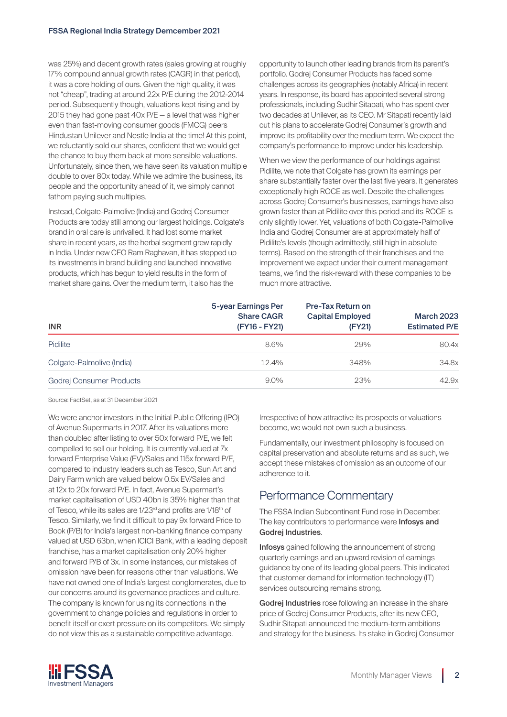was 25%) and decent growth rates (sales growing at roughly 17% compound annual growth rates (CAGR) in that period), it was a core holding of ours. Given the high quality, it was not "cheap", trading at around 22x P/E during the 2012-2014 period. Subsequently though, valuations kept rising and by 2015 they had gone past 40x P/E — a level that was higher even than fast-moving consumer goods (FMCG) peers Hindustan Unilever and Nestle India at the time! At this point, we reluctantly sold our shares, confident that we would get the chance to buy them back at more sensible valuations. Unfortunately, since then, we have seen its valuation multiple double to over 80x today. While we admire the business, its people and the opportunity ahead of it, we simply cannot fathom paying such multiples.

Instead, Colgate-Palmolive (India) and Godrej Consumer Products are today still among our largest holdings. Colgate's brand in oral care is unrivalled. It had lost some market share in recent years, as the herbal segment grew rapidly in India. Under new CEO Ram Raghavan, it has stepped up its investments in brand building and launched innovative products, which has begun to yield results in the form of market share gains. Over the medium term, it also has the

opportunity to launch other leading brands from its parent's portfolio. Godrej Consumer Products has faced some challenges across its geographies (notably Africa) in recent years. In response, its board has appointed several strong professionals, including Sudhir Sitapati, who has spent over two decades at Unilever, as its CEO. Mr Sitapati recently laid out his plans to accelerate Godrej Consumer's growth and improve its profitability over the medium term. We expect the company's performance to improve under his leadership.

When we view the performance of our holdings against Pidilite, we note that Colgate has grown its earnings per share substantially faster over the last five years. It generates exceptionally high ROCE as well. Despite the challenges across Godrej Consumer's businesses, earnings have also grown faster than at Pidilite over this period and its ROCE is only slightly lower. Yet, valuations of both Colgate-Palmolive India and Godrej Consumer are at approximately half of Pidilite's levels (though admittedly, still high in absolute terms). Based on the strength of their franchises and the improvement we expect under their current management teams, we find the risk-reward with these companies to be much more attractive.

| <b>INR</b>                | 5-year Earnings Per<br><b>Share CAGR</b><br>(FY16 - FY21) | <b>Pre-Tax Return on</b><br><b>Capital Employed</b><br>(FY21) | <b>March 2023</b><br><b>Estimated P/E</b> |
|---------------------------|-----------------------------------------------------------|---------------------------------------------------------------|-------------------------------------------|
| <b>Pidilite</b>           | 8.6%                                                      | 29%                                                           | 80.4x                                     |
| Colgate-Palmolive (India) | 12.4%                                                     | 348%                                                          | 34.8x                                     |
| Godrej Consumer Products  | $9.0\%$                                                   | 23%                                                           | 42.9x                                     |

Source: FactSet, as at 31 December 2021

We were anchor investors in the Initial Public Offering (IPO) of Avenue Supermarts in 2017. After its valuations more than doubled after listing to over 50x forward P/E, we felt compelled to sell our holding. It is currently valued at 7x forward Enterprise Value (EV)/Sales and 115x forward P/E, compared to industry leaders such as Tesco, Sun Art and Dairy Farm which are valued below 0.5x EV/Sales and at 12x to 20x forward P/E. In fact, Avenue Supermart's market capitalisation of USD 40bn is 35% higher than that of Tesco, while its sales are 1/23<sup>rd</sup> and profits are 1/18<sup>th</sup> of Tesco. Similarly, we find it difficult to pay 9x forward Price to Book (P/B) for India's largest non-banking finance company valued at USD 63bn, when ICICI Bank, with a leading deposit franchise, has a market capitalisation only 20% higher and forward P/B of 3x. In some instances, our mistakes of omission have been for reasons other than valuations. We have not owned one of India's largest conglomerates, due to our concerns around its governance practices and culture. The company is known for using its connections in the government to change policies and regulations in order to benefit itself or exert pressure on its competitors. We simply do not view this as a sustainable competitive advantage.

Irrespective of how attractive its prospects or valuations become, we would not own such a business.

Fundamentally, our investment philosophy is focused on capital preservation and absolute returns and as such, we accept these mistakes of omission as an outcome of our adherence to it.

## Performance Commentary

The FSSA Indian Subcontinent Fund rose in December. The key contributors to performance were **Infosys and** Godrej Industries.

Infosys gained following the announcement of strong quarterly earnings and an upward revision of earnings guidance by one of its leading global peers. This indicated that customer demand for information technology (IT) services outsourcing remains strong.

Godrej Industries rose following an increase in the share price of Godrej Consumer Products, after its new CEO, Sudhir Sitapati announced the medium-term ambitions and strategy for the business. Its stake in Godrej Consumer

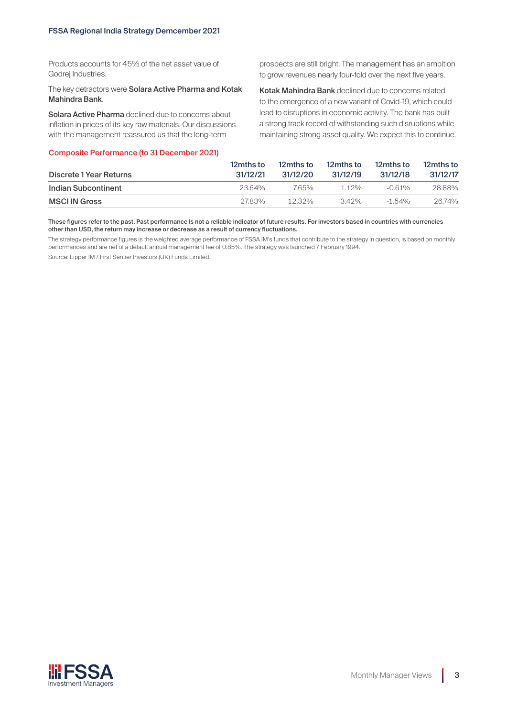Products accounts for 45% of the net asset value of Godrei Industries.

The key detractors were Solara Active Pharma and Kotak Mahindra Bank.

Solara Active Pharma declined due to concerns about inflation in prices of its key raw materials. Our discussions with the management reassured us that the long-term

#### Composite Performance (to 31 December 2021)

prospects are still bright. The management has an ambition to grow revenues nearly four-fold over the next five years.

Kotak Mahindra Bank declined due to concerns related to the emergence of a new variant of Covid-19, which could lead to disruptions in economic activity. The bank has built a strong track record of withstanding such disruptions while maintaining strong asset quality. We expect this to continue.

| Discrete 1 Year Returns | 12mths to<br>31/12/21 | 12mths to<br>31/12/20 | 12mths to<br>31/12/19 | 12mths to<br>31/12/18 | 12mths to<br>31/12/17 |
|-------------------------|-----------------------|-----------------------|-----------------------|-----------------------|-----------------------|
| Indian Subcontinent     | 23.64%                | 765%                  | 112%                  | $-0.61\%$             | 28.88%                |
| <b>MSCI IN Gross</b>    | 2783%                 | $12.32\%$             | 342%                  | $-1.54\%$             | 26.74%                |

#### These figures refer to the past. Past performance is not a reliable indicator of future results. For investors based in countries with currencies other than USD, the return may increase or decrease as a result of currency fluctuations.

The strategy performance figures is the weighted average performance of FSSA IM's funds that contribute to the strategy in question, is based on monthly performances and are net of a default annual management fee of 0.85%. The strategy was launched 7 February 1994.

Source: Lipper IM / First Sentier Investors (UK) Funds Limited.